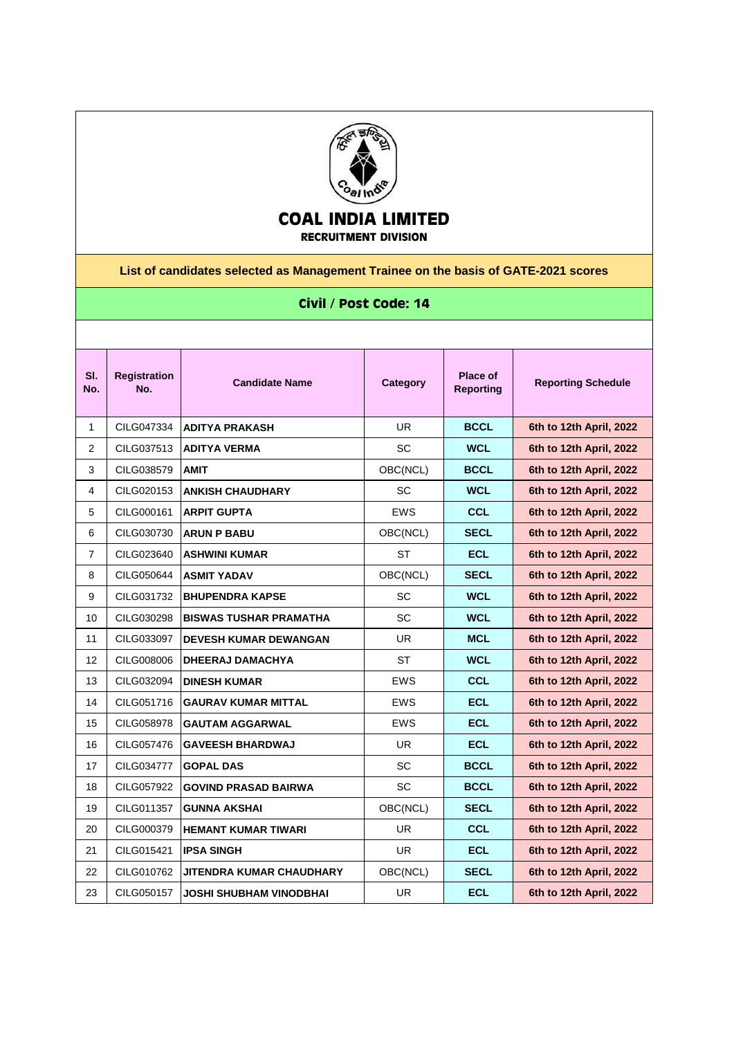

## **COAL INDIA LIMITED**

**RECRUITMENT DIVISION**

**List of candidates selected as Management Trainee on the basis of GATE-2021 scores**

## **Civil / Post Code: 14**

| SI.<br>No.     | <b>Registration</b><br>No. | <b>Candidate Name</b>         | Category   | Place of<br><b>Reporting</b> | <b>Reporting Schedule</b> |
|----------------|----------------------------|-------------------------------|------------|------------------------------|---------------------------|
| 1              | CILG047334                 | <b>ADITYA PRAKASH</b>         | <b>UR</b>  | <b>BCCL</b>                  | 6th to 12th April, 2022   |
| 2              | CILG037513                 | <b>ADITYA VERMA</b>           | <b>SC</b>  | <b>WCL</b>                   | 6th to 12th April, 2022   |
| 3              | CILG038579                 | <b>AMIT</b>                   | OBC(NCL)   | <b>BCCL</b>                  | 6th to 12th April, 2022   |
| 4              | CILG020153                 | <b>ANKISH CHAUDHARY</b>       | SC         | <b>WCL</b>                   | 6th to 12th April, 2022   |
| 5              | CILG000161                 | <b>ARPIT GUPTA</b>            | <b>EWS</b> | <b>CCL</b>                   | 6th to 12th April, 2022   |
| 6              | CILG030730                 | <b>ARUN P BABU</b>            | OBC(NCL)   | <b>SECL</b>                  | 6th to 12th April, 2022   |
| $\overline{7}$ | CILG023640                 | <b>ASHWINI KUMAR</b>          | ST         | <b>ECL</b>                   | 6th to 12th April, 2022   |
| 8              | CILG050644                 | <b>ASMIT YADAV</b>            | OBC(NCL)   | <b>SECL</b>                  | 6th to 12th April, 2022   |
| 9              | CILG031732                 | <b>BHUPENDRA KAPSE</b>        | <b>SC</b>  | <b>WCL</b>                   | 6th to 12th April, 2022   |
| 10             | CILG030298                 | <b>BISWAS TUSHAR PRAMATHA</b> | <b>SC</b>  | <b>WCL</b>                   | 6th to 12th April, 2022   |
| 11             | CILG033097                 | <b>DEVESH KUMAR DEWANGAN</b>  | UR.        | <b>MCL</b>                   | 6th to 12th April, 2022   |
| 12             | CILG008006                 | <b>DHEERAJ DAMACHYA</b>       | ST         | <b>WCL</b>                   | 6th to 12th April, 2022   |
| 13             | CILG032094                 | <b>DINESH KUMAR</b>           | <b>EWS</b> | <b>CCL</b>                   | 6th to 12th April, 2022   |
| 14             | CILG051716                 | <b>GAURAV KUMAR MITTAL</b>    | <b>EWS</b> | <b>ECL</b>                   | 6th to 12th April, 2022   |
| 15             | CILG058978                 | <b>GAUTAM AGGARWAL</b>        | <b>EWS</b> | <b>ECL</b>                   | 6th to 12th April, 2022   |
| 16             | CILG057476                 | <b>GAVEESH BHARDWAJ</b>       | UR.        | <b>ECL</b>                   | 6th to 12th April, 2022   |
| 17             | CILG034777                 | <b>GOPAL DAS</b>              | <b>SC</b>  | <b>BCCL</b>                  | 6th to 12th April, 2022   |
| 18             | CILG057922                 | <b>GOVIND PRASAD BAIRWA</b>   | <b>SC</b>  | <b>BCCL</b>                  | 6th to 12th April, 2022   |
| 19             | CILG011357                 | <b>GUNNA AKSHAI</b>           | OBC(NCL)   | <b>SECL</b>                  | 6th to 12th April, 2022   |
| 20             | CILG000379                 | <b>HEMANT KUMAR TIWARI</b>    | UR.        | <b>CCL</b>                   | 6th to 12th April, 2022   |
| 21             | CILG015421                 | <b>IPSA SINGH</b>             | UR.        | <b>ECL</b>                   | 6th to 12th April, 2022   |
| 22             | CILG010762                 | JITENDRA KUMAR CHAUDHARY      | OBC(NCL)   | <b>SECL</b>                  | 6th to 12th April, 2022   |
| 23             | CILG050157                 | JOSHI SHUBHAM VINODBHAI       | UR         | <b>ECL</b>                   | 6th to 12th April, 2022   |